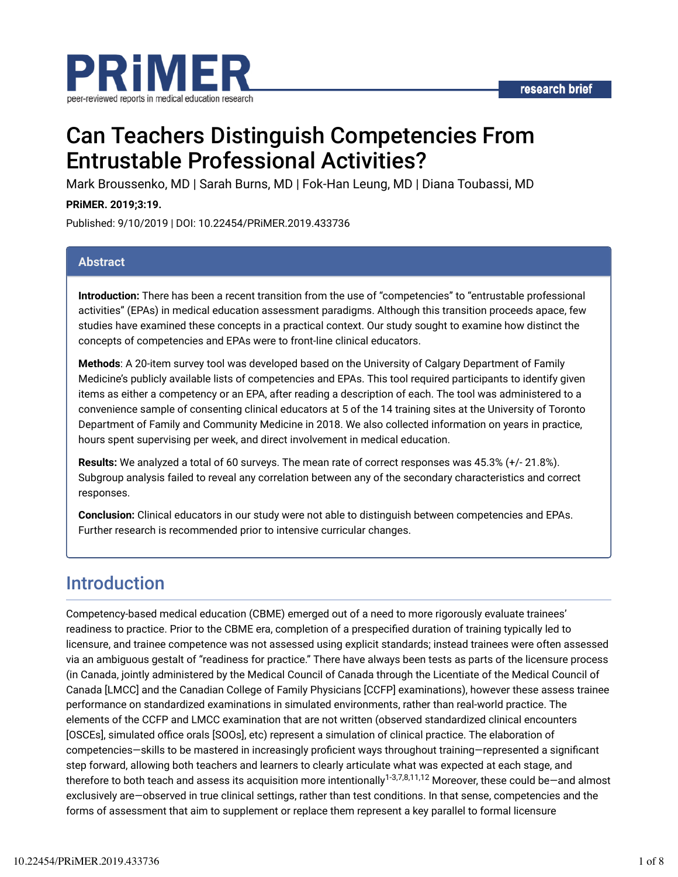

# Can Teachers Distinguish Competencies From Entrustable Professional Activities?

Mark Broussenko, MD | Sarah Burns, MD | Fok-Han Leung, MD | Diana Toubassi, MD

#### **PRiMER. 2019;3:19.**

Published: 9/10/2019 | DOI: 10.22454/PRiMER.2019.433736

### **Abstract**

**Introduction:** There has been a recent transition from the use of "competencies" to "entrustable professional activities" (EPAs) in medical education assessment paradigms. Although this transition proceeds apace, few studies have examined these concepts in a practical context. Our study sought to examine how distinct the concepts of competencies and EPAs were to front-line clinical educators.

**Methods**: A 20-item survey tool was developed based on the University of Calgary Department of Family Medicine's publicly available lists of competencies and EPAs. This tool required participants to identify given items as either a competency or an EPA, after reading a description of each. The tool was administered to a convenience sample of consenting clinical educators at 5 of the 14 training sites at the University of Toronto Department of Family and Community Medicine in 2018. We also collected information on years in practice, hours spent supervising per week, and direct involvement in medical education.

**Results:** We analyzed a total of 60 surveys. The mean rate of correct responses was 45.3% (+/- 21.8%). Subgroup analysis failed to reveal any correlation between any of the secondary characteristics and correct responses.

**Conclusion:** Clinical educators in our study were not able to distinguish between competencies and EPAs. Further research is recommended prior to intensive curricular changes.

### Introduction

Competency-based medical education (CBME) emerged out of a need to more rigorously evaluate trainees' readiness to practice. Prior to the CBME era, completion of a prespecified duration of training typically led to licensure, and trainee competence was not assessed using explicit standards; instead trainees were often assessed via an ambiguous gestalt of "readiness for practice." There have always been tests as parts of the licensure process (in Canada, jointly administered by the Medical Council of Canada through the Licentiate of the Medical Council of Canada [LMCC] and the Canadian College of Family Physicians [CCFP] examinations), however these assess trainee performance on standardized examinations in simulated environments, rather than real-world practice. The elements of the CCFP and LMCC examination that are not written (observed standardized clinical encounters [OSCEs], simulated office orals [SOOs], etc) represent a simulation of clinical practice. The elaboration of competencies—skills to be mastered in increasingly proficient ways throughout training—represented a significant step forward, allowing both teachers and learners to clearly articulate what was expected at each stage, and therefore to both teach and assess its acquisition more intentionally<sup>1-3,7,8,11,12</sup> Moreover, these could be—and almost exclusively are—observed in true clinical settings, rather than test conditions. In that sense, competencies and the forms of assessment that aim to supplement or replace them represent a key parallel to formal licensure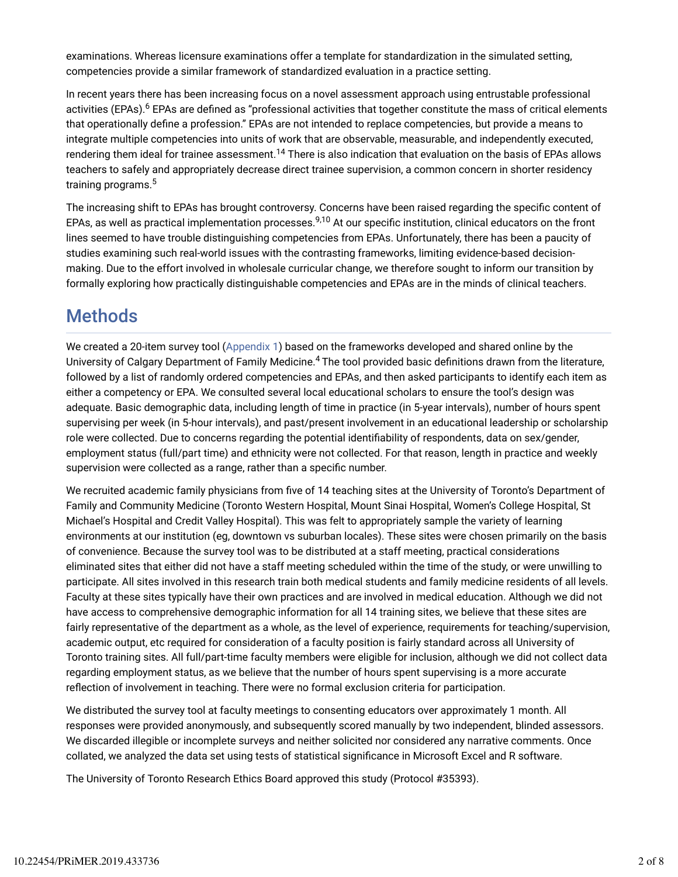examinations. Whereas licensure examinations offer a template for standardization in the simulated setting, competencies provide a similar framework of standardized evaluation in a practice setting.

In recent years there has been increasing focus on a novel assessment approach using entrustable professional activities (EPAs).<sup>6</sup> EPAs are defined as "professional activities that together constitute the mass of critical elements that operationally define a profession." EPAs are not intended to replace competencies, but provide a means to integrate multiple competencies into units of work that are observable, measurable, and independently executed, rendering them ideal for trainee assessment.<sup>14</sup> There is also indication that evaluation on the basis of EPAs allows teachers to safely and appropriately decrease direct trainee supervision, a common concern in shorter residency training programs. 5

The increasing shift to EPAs has brought controversy. Concerns have been raised regarding the specific content of EPAs, as well as practical implementation processes.<sup>9,10</sup> At our specific institution, clinical educators on the front lines seemed to have trouble distinguishing competencies from EPAs. Unfortunately, there has been a paucity of studies examining such real-world issues with the contrasting frameworks, limiting evidence-based decisionmaking. Due to the effort involved in wholesale curricular change, we therefore sought to inform our transition by formally exploring how practically distinguishable competencies and EPAs are in the minds of clinical teachers.

## **Methods**

We created a 20-item survey tool (Appendix 1) based on the frameworks developed and shared online by the University of Calgary Department of Family Medicine.<sup>4</sup> The tool provided basic definitions drawn from the literature, followed by a list of randomly ordered competencies and EPAs, and then asked participants to identify each item as either a competency or EPA. We consulted several local educational scholars to ensure the tool's design was adequate. Basic demographic data, including length of time in practice (in 5-year intervals), number of hours spent supervising per week (in 5-hour intervals), and past/present involvement in an educational leadership or scholarship role were collected. Due to concerns regarding the potential identidability of respondents, data on sex/gender, employment status (full/part time) and ethnicity were not collected. For that reason, length in practice and weekly supervision were collected as a range, rather than a specific number.

We recruited academic family physicians from five of 14 teaching sites at the University of Toronto's Department of Family and Community Medicine (Toronto Western Hospital, Mount Sinai Hospital, Women's College Hospital, St Michael's Hospital and Credit Valley Hospital). This was felt to appropriately sample the variety of learning environments at our institution (eg, downtown vs suburban locales). These sites were chosen primarily on the basis of convenience. Because the survey tool was to be distributed at a staff meeting, practical considerations eliminated sites that either did not have a staff meeting scheduled within the time of the study, or were unwilling to participate. All sites involved in this research train both medical students and family medicine residents of all levels. Faculty at these sites typically have their own practices and are involved in medical education. Although we did not have access to comprehensive demographic information for all 14 training sites, we believe that these sites are fairly representative of the department as a whole, as the level of experience, requirements for teaching/supervision, academic output, etc required for consideration of a faculty position is fairly standard across all University of Toronto training sites. All full/part-time faculty members were eligible for inclusion, although we did not collect data regarding employment status, as we believe that the number of hours spent supervising is a more accurate relection of involvement in teaching. There were no formal exclusion criteria for participation.

We distributed the survey tool at faculty meetings to consenting educators over approximately 1 month. All responses were provided anonymously, and subsequently scored manually by two independent, blinded assessors. We discarded illegible or incomplete surveys and neither solicited nor considered any narrative comments. Once collated, we analyzed the data set using tests of statistical significance in Microsoft Excel and R software.

The University of Toronto Research Ethics Board approved this study (Protocol #35393).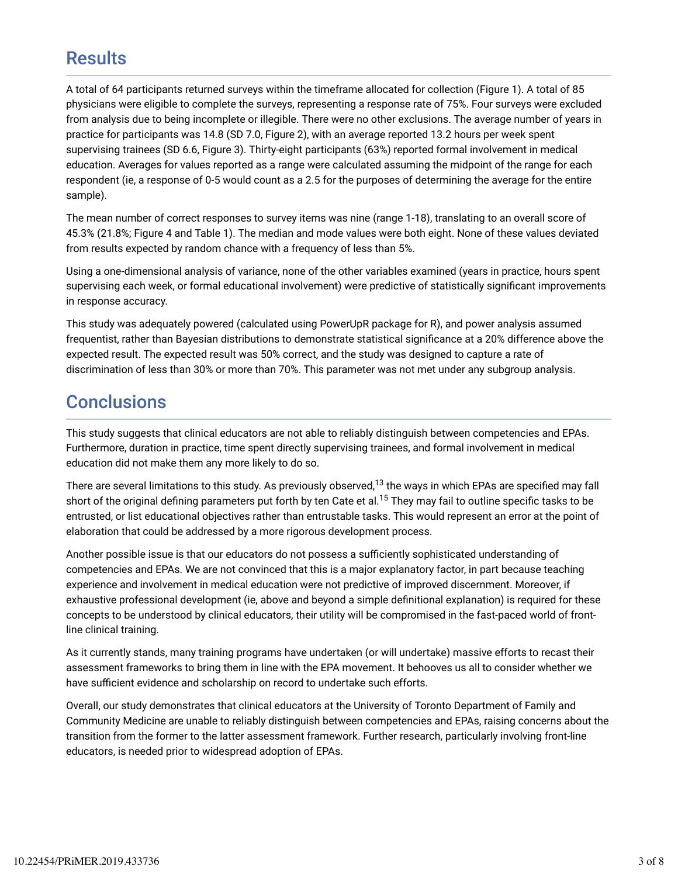### **Results**

A total of 64 participants returned surveys within the timeframe allocated for collection (Figure 1). A total of 85 physicians were eligible to complete the surveys, representing a response rate of 75%. Four surveys were excluded from analysis due to being incomplete or illegible. There were no other exclusions. The average number of years in practice for participants was 14.8 (SD 7.0, Figure 2), with an average reported 13.2 hours per week spent supervising trainees (SD 6.6, Figure 3). Thirty-eight participants (63%) reported formal involvement in medical education. Averages for values reported as a range were calculated assuming the midpoint of the range for each respondent (ie, a response of 0-5 would count as a 2.5 for the purposes of determining the average for the entire sample).

The mean number of correct responses to survey items was nine (range 1-18), translating to an overall score of 45.3% (21.8%; Figure 4 and Table 1). The median and mode values were both eight. None of these values deviated from results expected by random chance with a frequency of less than 5%.

Using a one-dimensional analysis of variance, none of the other variables examined (years in practice, hours spent supervising each week, or formal educational involvement) were predictive of statistically significant improvements in response accuracy.

This study was adequately powered (calculated using PowerUpR package for R), and power analysis assumed frequentist, rather than Bayesian distributions to demonstrate statistical significance at a 20% difference above the expected result. The expected result was 50% correct, and the study was designed to capture a rate of discrimination of less than 30% or more than 70%. This parameter was not met under any subgroup analysis.

## **Conclusions**

This study suggests that clinical educators are not able to reliably distinguish between competencies and EPAs. Furthermore, duration in practice, time spent directly supervising trainees, and formal involvement in medical education did not make them any more likely to do so.

There are several limitations to this study. As previously observed, $^{13}$  the ways in which EPAs are specified may fall short of the original defining parameters put forth by ten Cate et al.<sup>15</sup> They may fail to outline specific tasks to be entrusted, or list educational objectives rather than entrustable tasks. This would represent an error at the point of elaboration that could be addressed by a more rigorous development process.

Another possible issue is that our educators do not possess a sufficiently sophisticated understanding of competencies and EPAs. We are not convinced that this is a major explanatory factor, in part because teaching experience and involvement in medical education were not predictive of improved discernment. Moreover, if exhaustive professional development (ie, above and beyond a simple definitional explanation) is required for these concepts to be understood by clinical educators, their utility will be compromised in the fast-paced world of frontline clinical training.

As it currently stands, many training programs have undertaken (or will undertake) massive efforts to recast their assessment frameworks to bring them in line with the EPA movement. It behooves us all to consider whether we have sufficient evidence and scholarship on record to undertake such efforts.

Overall, our study demonstrates that clinical educators at the University of Toronto Department of Family and Community Medicine are unable to reliably distinguish between competencies and EPAs, raising concerns about the transition from the former to the latter assessment framework. Further research, particularly involving front-line educators, is needed prior to widespread adoption of EPAs.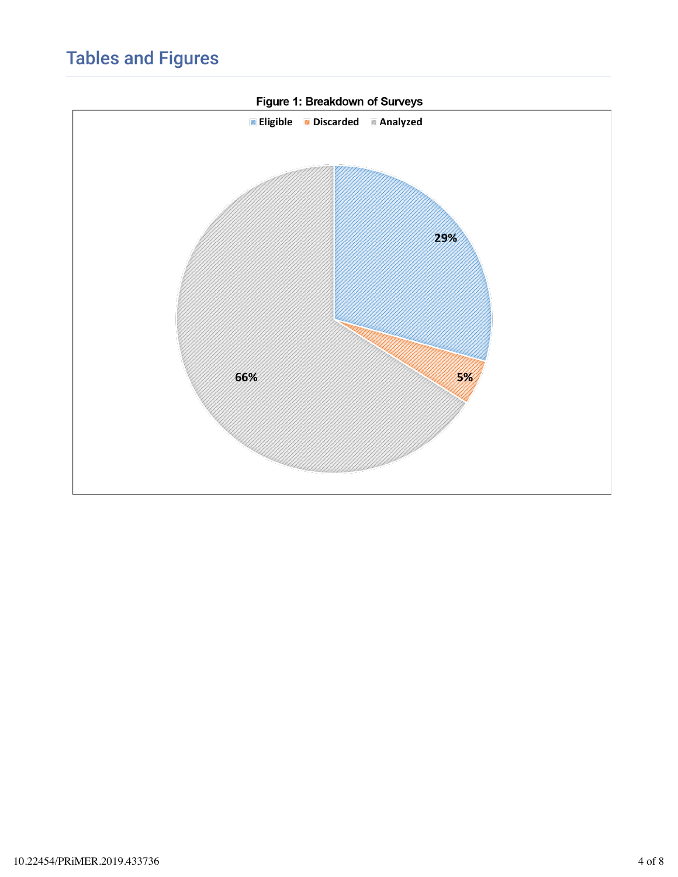## Tables and Figures

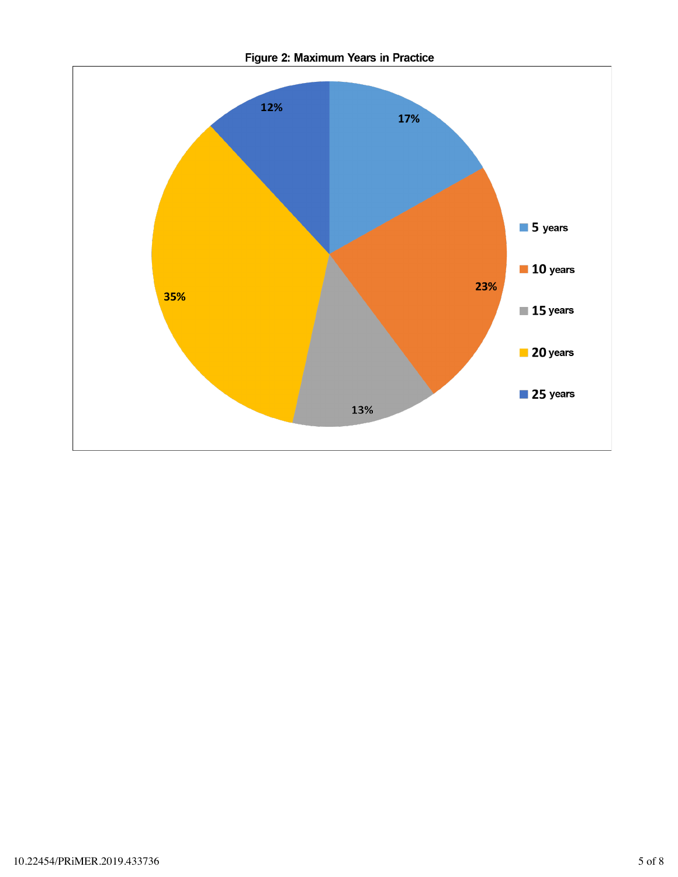

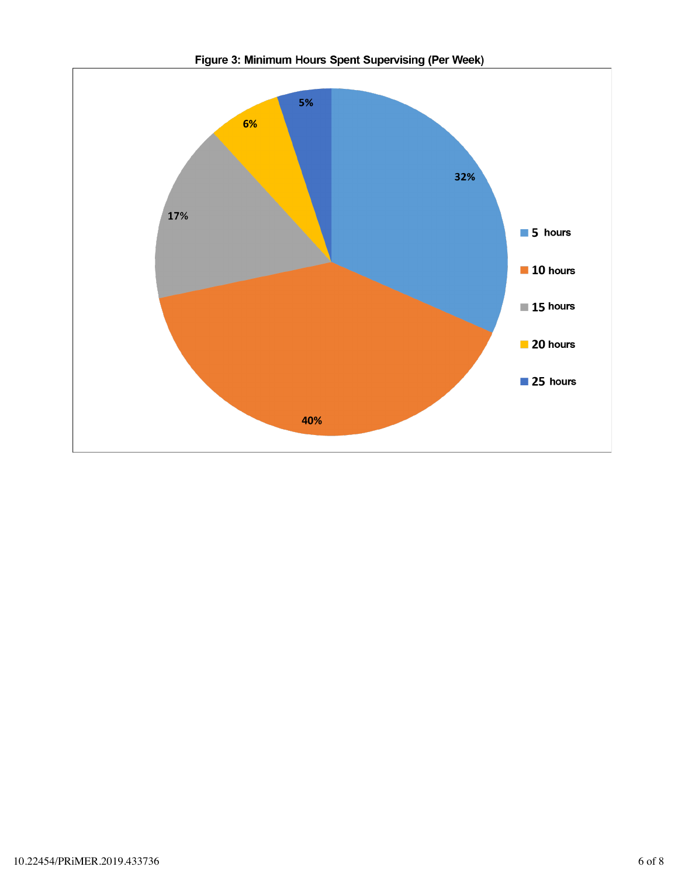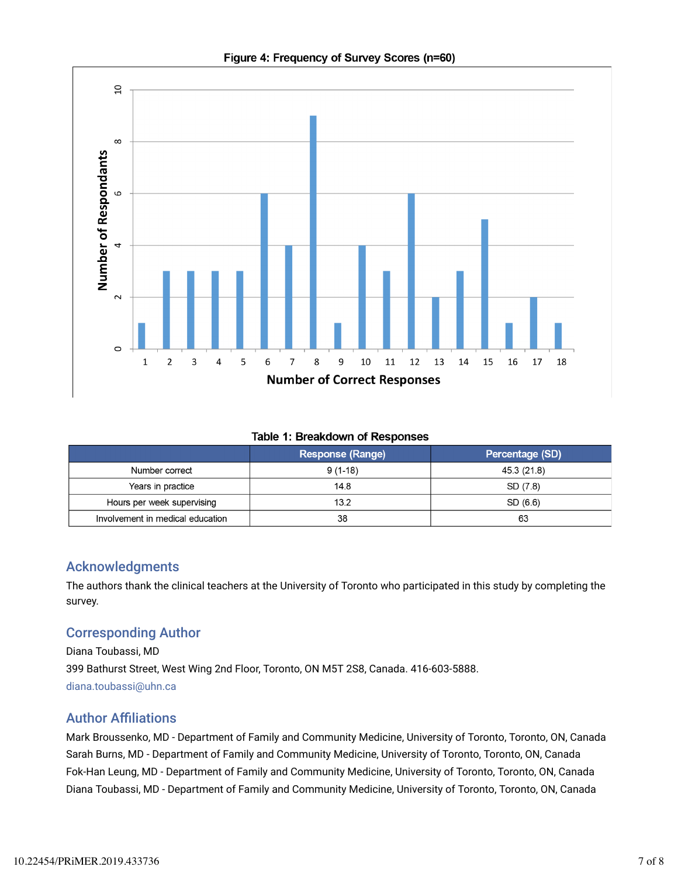

### Figure 4: Frequency of Survey Scores (n=60)

#### **Table 1: Breakdown of Responses**

|                                  | <b>Response (Range)</b> | Percentage (SD) |
|----------------------------------|-------------------------|-----------------|
| Number correct                   | $9(1-18)$               | 45.3 (21.8)     |
| Years in practice                | 14.8                    | SD (7.8)        |
| Hours per week supervising       | 13.2                    | SD (6.6)        |
| Involvement in medical education | 38                      | 63              |

### Acknowledgments

The authors thank the clinical teachers at the University of Toronto who participated in this study by completing the survey.

### Corresponding Author

Diana Toubassi, MD 399 Bathurst Street, West Wing 2nd Floor, Toronto, ON M5T 2S8, Canada. 416-603-5888. diana.toubassi@uhn.ca

### **Author Affiliations**

Mark Broussenko, MD - Department of Family and Community Medicine, University of Toronto, Toronto, ON, Canada Sarah Burns, MD - Department of Family and Community Medicine, University of Toronto, Toronto, ON, Canada Fok-Han Leung, MD - Department of Family and Community Medicine, University of Toronto, Toronto, ON, Canada Diana Toubassi, MD - Department of Family and Community Medicine, University of Toronto, Toronto, ON, Canada